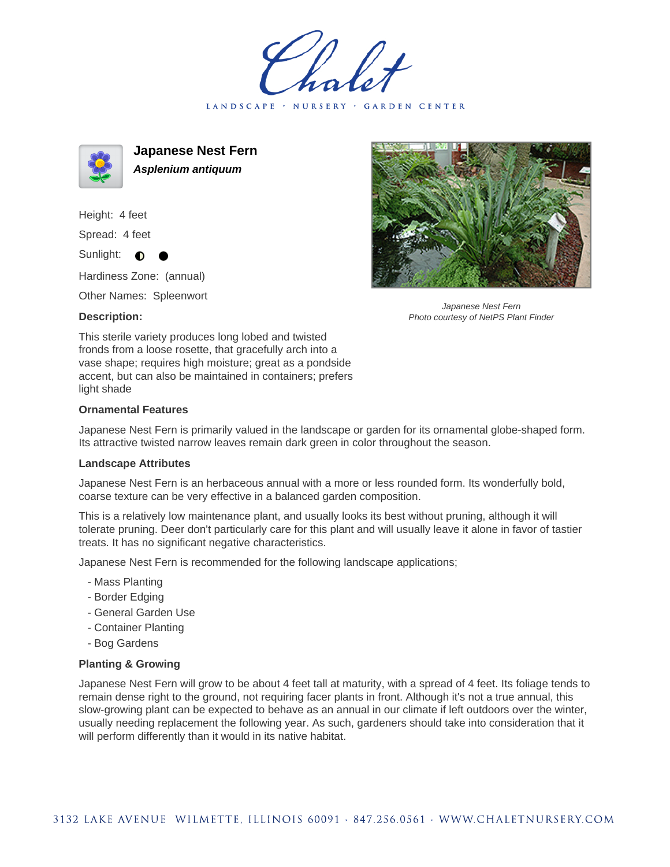LANDSCAPE · NURSERY · GARDEN CENTER



**Japanese Nest Fern Asplenium antiquum**

Height: 4 feet Spread: 4 feet

Sunlight:  $\bullet$ 

Hardiness Zone: (annual)

Other Names: Spleenwort

## **Description:**



Japanese Nest Fern Photo courtesy of NetPS Plant Finder

This sterile variety produces long lobed and twisted fronds from a loose rosette, that gracefully arch into a vase shape; requires high moisture; great as a pondside accent, but can also be maintained in containers; prefers light shade

## **Ornamental Features**

Japanese Nest Fern is primarily valued in the landscape or garden for its ornamental globe-shaped form. Its attractive twisted narrow leaves remain dark green in color throughout the season.

## **Landscape Attributes**

Japanese Nest Fern is an herbaceous annual with a more or less rounded form. Its wonderfully bold, coarse texture can be very effective in a balanced garden composition.

This is a relatively low maintenance plant, and usually looks its best without pruning, although it will tolerate pruning. Deer don't particularly care for this plant and will usually leave it alone in favor of tastier treats. It has no significant negative characteristics.

Japanese Nest Fern is recommended for the following landscape applications;

- Mass Planting
- Border Edging
- General Garden Use
- Container Planting
- Bog Gardens

## **Planting & Growing**

Japanese Nest Fern will grow to be about 4 feet tall at maturity, with a spread of 4 feet. Its foliage tends to remain dense right to the ground, not requiring facer plants in front. Although it's not a true annual, this slow-growing plant can be expected to behave as an annual in our climate if left outdoors over the winter, usually needing replacement the following year. As such, gardeners should take into consideration that it will perform differently than it would in its native habitat.